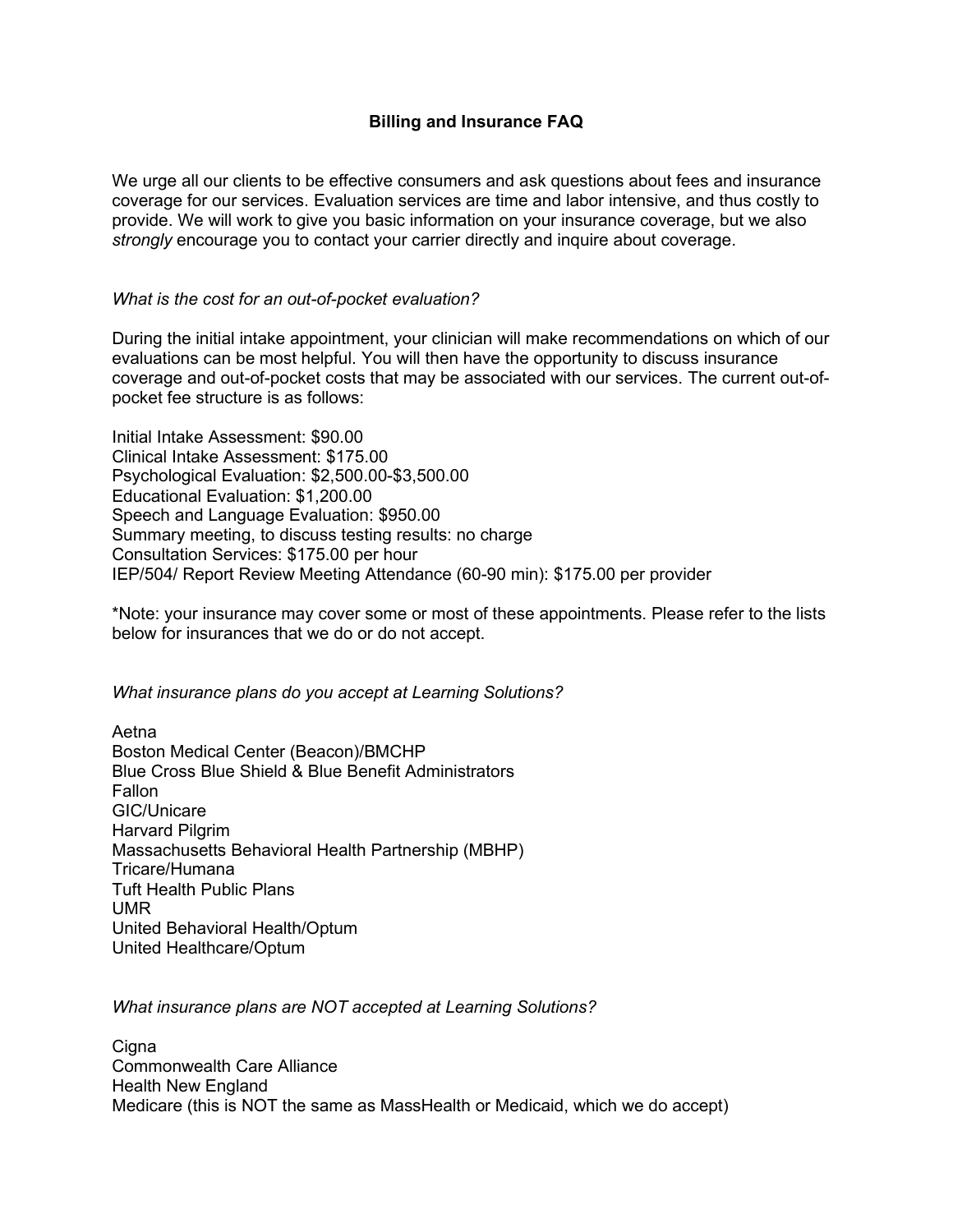## **Billing and Insurance FAQ**

We urge all our clients to be effective consumers and ask questions about fees and insurance coverage for our services. Evaluation services are time and labor intensive, and thus costly to provide. We will work to give you basic information on your insurance coverage, but we also *strongly* encourage you to contact your carrier directly and inquire about coverage.

## *What is the cost for an out-of-pocket evaluation?*

During the initial intake appointment, your clinician will make recommendations on which of our evaluations can be most helpful. You will then have the opportunity to discuss insurance coverage and out-of-pocket costs that may be associated with our services. The current out-ofpocket fee structure is as follows:

Initial Intake Assessment: \$90.00 Clinical Intake Assessment: \$175.00 Psychological Evaluation: \$2,500.00-\$3,500.00 Educational Evaluation: \$1,200.00 Speech and Language Evaluation: \$950.00 Summary meeting, to discuss testing results: no charge Consultation Services: \$175.00 per hour IEP/504/ Report Review Meeting Attendance (60-90 min): \$175.00 per provider

\*Note: your insurance may cover some or most of these appointments. Please refer to the lists below for insurances that we do or do not accept.

*What insurance plans do you accept at Learning Solutions?*

Aetna Boston Medical Center (Beacon)/BMCHP Blue Cross Blue Shield & Blue Benefit Administrators Fallon GIC/Unicare Harvard Pilgrim Massachusetts Behavioral Health Partnership (MBHP) Tricare/Humana Tuft Health Public Plans UMR United Behavioral Health/Optum United Healthcare/Optum

*What insurance plans are NOT accepted at Learning Solutions?*

**Cigna** Commonwealth Care Alliance Health New England Medicare (this is NOT the same as MassHealth or Medicaid, which we do accept)